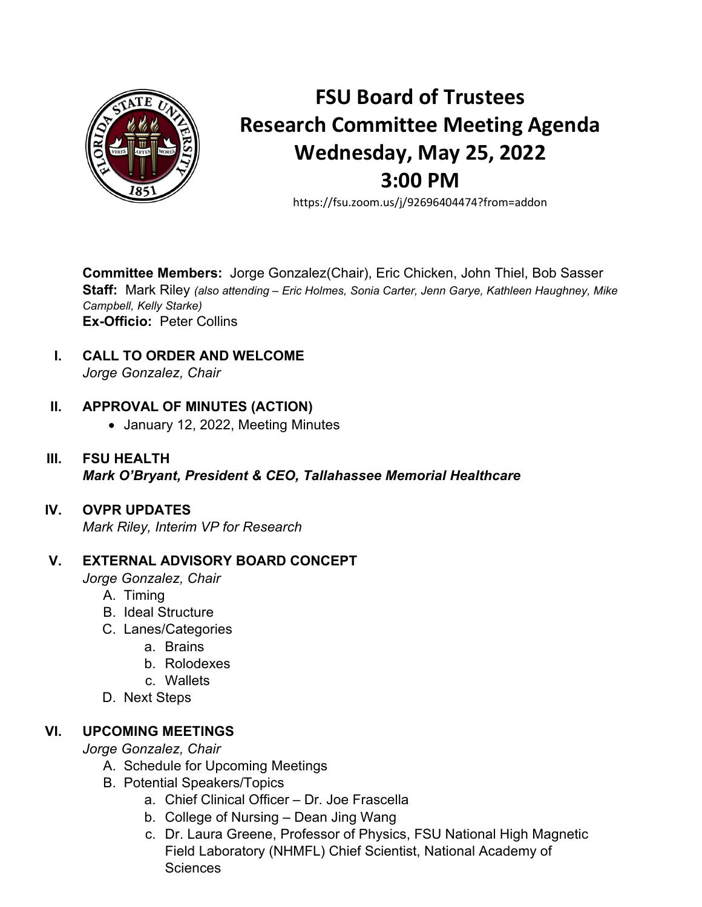

# **FSU Board of Trustees Research Committee Meeting Agenda Wednesday, May 25, 2022 3:00 PM**

https://fsu.zoom.us/j/92696404474?from=addon

**Committee Members:** Jorge Gonzalez(Chair), Eric Chicken, John Thiel, Bob Sasser **Staff:** Mark Riley *(also attending – Eric Holmes, Sonia Carter, Jenn Garye, Kathleen Haughney, Mike Campbell, Kelly Starke)* **Ex-Officio:** Peter Collins

**I. CALL TO ORDER AND WELCOME** *Jorge Gonzalez, Chair*

## **II. APPROVAL OF MINUTES (ACTION)**

- January 12, 2022, Meeting Minutes
- **III. FSU HEALTH** *Mark O'Bryant, President & CEO, Tallahassee Memorial Healthcare*

## **IV. OVPR UPDATES**

*Mark Riley, Interim VP for Research*

## **V. EXTERNAL ADVISORY BOARD CONCEPT**

*Jorge Gonzalez, Chair*

- A. Timing
- B. Ideal Structure
- C. Lanes/Categories
	- a. Brains
	- b. Rolodexes
	- c. Wallets
- D. Next Steps

## **VI. UPCOMING MEETINGS**

*Jorge Gonzalez, Chair*

- A. Schedule for Upcoming Meetings
- B. Potential Speakers/Topics
	- a. Chief Clinical Officer Dr. Joe Frascella
	- b. College of Nursing Dean Jing Wang
	- c. Dr. Laura Greene, Professor of Physics, FSU National High Magnetic Field Laboratory (NHMFL) Chief Scientist, National Academy of **Sciences**